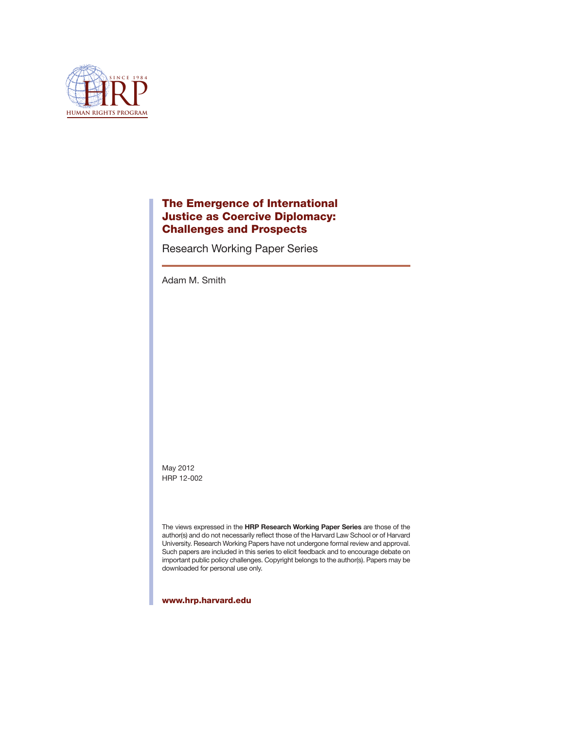

# The Emergence of International Justice as Coercive Diplomacy: Challenges and Prospects

Research Working Paper Series

Adam M. Smith

May 2012 HRP 12-002

The views expressed in the **HRP Research Working Paper Series** are those of the author(s) and do not necessarily reflect those of the Harvard Law School or of Harvard University. Research Working Papers have not undergone formal review and approval. Such papers are included in this series to elicit feedback and to encourage debate on important public policy challenges. Copyright belongs to the author(s). Papers may be downloaded for personal use only.

www.hrp.harvard.edu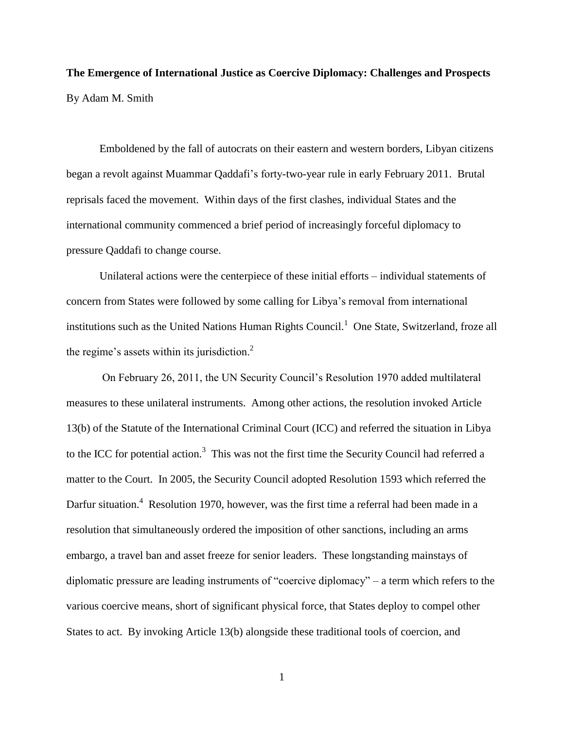**The Emergence of International Justice as Coercive Diplomacy: Challenges and Prospects** By Adam M. Smith

Emboldened by the fall of autocrats on their eastern and western borders, Libyan citizens began a revolt against Muammar Qaddafi"s forty-two-year rule in early February 2011. Brutal reprisals faced the movement. Within days of the first clashes, individual States and the international community commenced a brief period of increasingly forceful diplomacy to pressure Qaddafi to change course.

Unilateral actions were the centerpiece of these initial efforts – individual statements of concern from States were followed by some calling for Libya"s removal from international institutions such as the United Nations Human Rights Council.<sup>1</sup> One State, Switzerland, froze all the regime's assets within its jurisdiction. $2$ 

On February 26, 2011, the UN Security Council"s Resolution 1970 added multilateral measures to these unilateral instruments. Among other actions, the resolution invoked Article 13(b) of the Statute of the International Criminal Court (ICC) and referred the situation in Libya to the ICC for potential action.<sup>3</sup> This was not the first time the Security Council had referred a matter to the Court. In 2005, the Security Council adopted Resolution 1593 which referred the Darfur situation.<sup>4</sup> Resolution 1970, however, was the first time a referral had been made in a resolution that simultaneously ordered the imposition of other sanctions, including an arms embargo, a travel ban and asset freeze for senior leaders. These longstanding mainstays of diplomatic pressure are leading instruments of "coercive diplomacy" – a term which refers to the various coercive means, short of significant physical force, that States deploy to compel other States to act. By invoking Article 13(b) alongside these traditional tools of coercion, and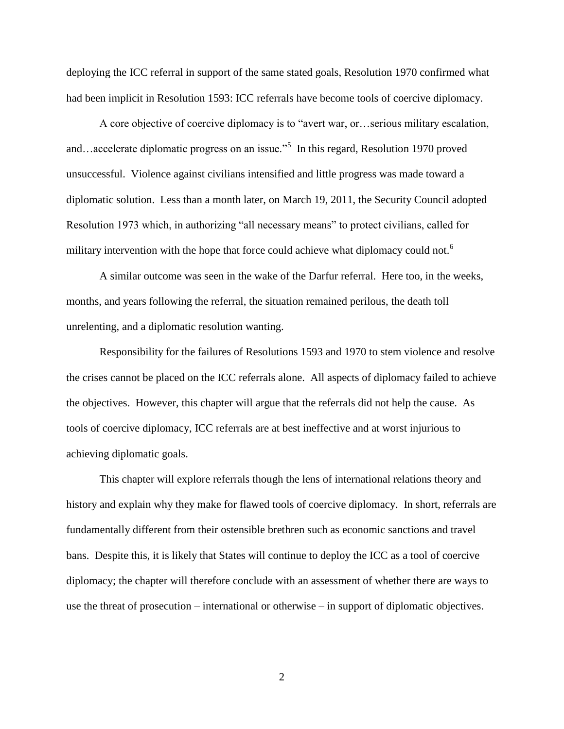deploying the ICC referral in support of the same stated goals, Resolution 1970 confirmed what had been implicit in Resolution 1593: ICC referrals have become tools of coercive diplomacy.

A core objective of coercive diplomacy is to "avert war, or…serious military escalation, and…accelerate diplomatic progress on an issue."<sup>5</sup> In this regard, Resolution 1970 proved unsuccessful. Violence against civilians intensified and little progress was made toward a diplomatic solution. Less than a month later, on March 19, 2011, the Security Council adopted Resolution 1973 which, in authorizing "all necessary means" to protect civilians, called for military intervention with the hope that force could achieve what diplomacy could not.<sup>6</sup>

A similar outcome was seen in the wake of the Darfur referral. Here too, in the weeks, months, and years following the referral, the situation remained perilous, the death toll unrelenting, and a diplomatic resolution wanting.

Responsibility for the failures of Resolutions 1593 and 1970 to stem violence and resolve the crises cannot be placed on the ICC referrals alone. All aspects of diplomacy failed to achieve the objectives. However, this chapter will argue that the referrals did not help the cause. As tools of coercive diplomacy, ICC referrals are at best ineffective and at worst injurious to achieving diplomatic goals.

This chapter will explore referrals though the lens of international relations theory and history and explain why they make for flawed tools of coercive diplomacy. In short, referrals are fundamentally different from their ostensible brethren such as economic sanctions and travel bans. Despite this, it is likely that States will continue to deploy the ICC as a tool of coercive diplomacy; the chapter will therefore conclude with an assessment of whether there are ways to use the threat of prosecution – international or otherwise – in support of diplomatic objectives.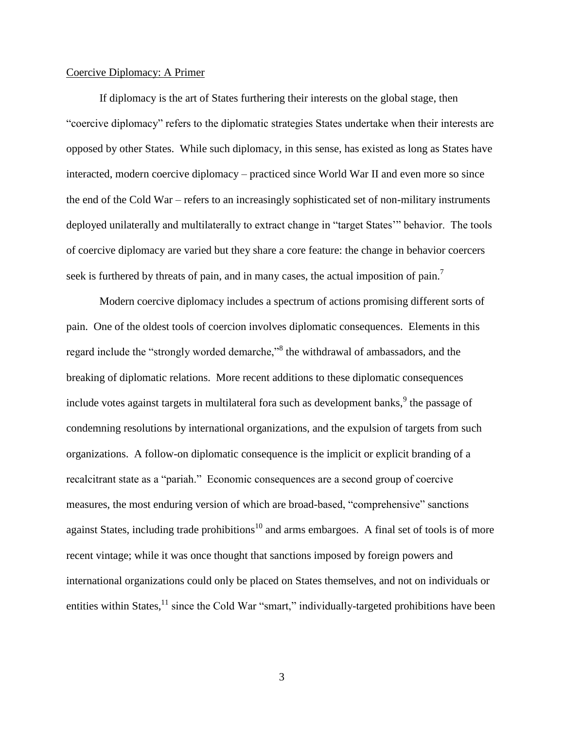### Coercive Diplomacy: A Primer

If diplomacy is the art of States furthering their interests on the global stage, then "coercive diplomacy" refers to the diplomatic strategies States undertake when their interests are opposed by other States. While such diplomacy, in this sense, has existed as long as States have interacted, modern coercive diplomacy – practiced since World War II and even more so since the end of the Cold War – refers to an increasingly sophisticated set of non-military instruments deployed unilaterally and multilaterally to extract change in "target States"" behavior. The tools of coercive diplomacy are varied but they share a core feature: the change in behavior coercers seek is furthered by threats of pain, and in many cases, the actual imposition of pain.<sup>7</sup>

Modern coercive diplomacy includes a spectrum of actions promising different sorts of pain. One of the oldest tools of coercion involves diplomatic consequences. Elements in this regard include the "strongly worded demarche,"<sup>8</sup> the withdrawal of ambassadors, and the breaking of diplomatic relations. More recent additions to these diplomatic consequences include votes against targets in multilateral fora such as development banks, $9$  the passage of condemning resolutions by international organizations, and the expulsion of targets from such organizations. A follow-on diplomatic consequence is the implicit or explicit branding of a recalcitrant state as a "pariah." Economic consequences are a second group of coercive measures, the most enduring version of which are broad-based, "comprehensive" sanctions against States, including trade prohibitions<sup>10</sup> and arms embargoes. A final set of tools is of more recent vintage; while it was once thought that sanctions imposed by foreign powers and international organizations could only be placed on States themselves, and not on individuals or entities within States, $^{11}$  since the Cold War "smart," individually-targeted prohibitions have been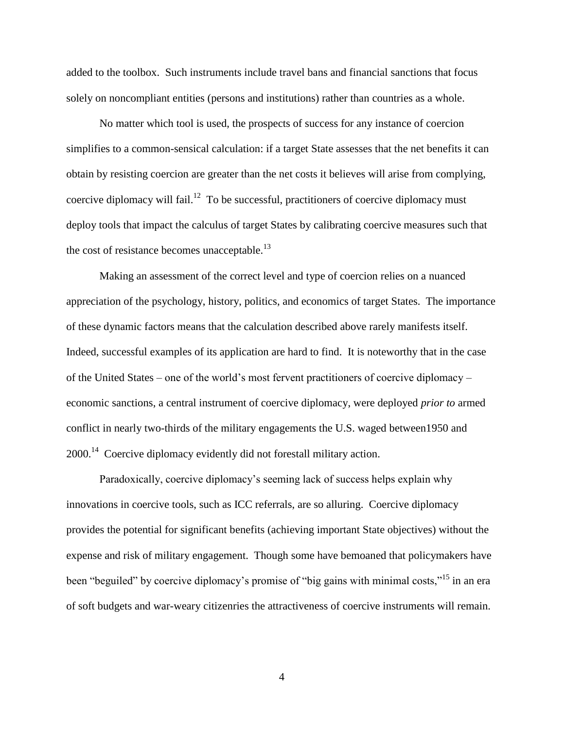added to the toolbox. Such instruments include travel bans and financial sanctions that focus solely on noncompliant entities (persons and institutions) rather than countries as a whole.

No matter which tool is used, the prospects of success for any instance of coercion simplifies to a common-sensical calculation: if a target State assesses that the net benefits it can obtain by resisting coercion are greater than the net costs it believes will arise from complying, coercive diplomacy will fail.<sup>12</sup> To be successful, practitioners of coercive diplomacy must deploy tools that impact the calculus of target States by calibrating coercive measures such that the cost of resistance becomes unacceptable. $^{13}$ 

Making an assessment of the correct level and type of coercion relies on a nuanced appreciation of the psychology, history, politics, and economics of target States. The importance of these dynamic factors means that the calculation described above rarely manifests itself. Indeed, successful examples of its application are hard to find. It is noteworthy that in the case of the United States – one of the world"s most fervent practitioners of coercive diplomacy – economic sanctions, a central instrument of coercive diplomacy, were deployed *prior to* armed conflict in nearly two-thirds of the military engagements the U.S. waged between1950 and 2000.<sup>14</sup> Coercive diplomacy evidently did not forestall military action.

Paradoxically, coercive diplomacy"s seeming lack of success helps explain why innovations in coercive tools, such as ICC referrals, are so alluring. Coercive diplomacy provides the potential for significant benefits (achieving important State objectives) without the expense and risk of military engagement. Though some have bemoaned that policymakers have been "beguiled" by coercive diplomacy's promise of "big gains with minimal costs,"<sup>15</sup> in an era of soft budgets and war-weary citizenries the attractiveness of coercive instruments will remain.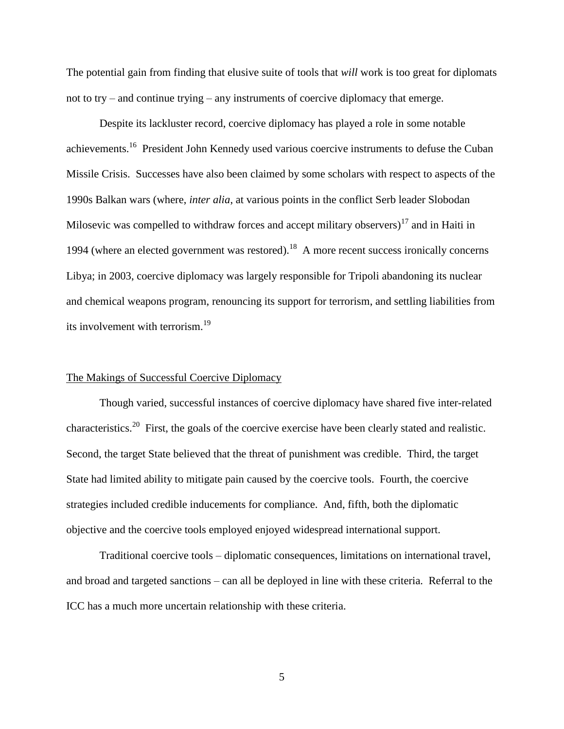The potential gain from finding that elusive suite of tools that *will* work is too great for diplomats not to try – and continue trying – any instruments of coercive diplomacy that emerge.

Despite its lackluster record, coercive diplomacy has played a role in some notable achievements.<sup>16</sup> President John Kennedy used various coercive instruments to defuse the Cuban Missile Crisis. Successes have also been claimed by some scholars with respect to aspects of the 1990s Balkan wars (where, *inter alia*, at various points in the conflict Serb leader Slobodan Milosevic was compelled to withdraw forces and accept military observers)<sup>17</sup> and in Haiti in 1994 (where an elected government was restored).<sup>18</sup> A more recent success ironically concerns Libya; in 2003, coercive diplomacy was largely responsible for Tripoli abandoning its nuclear and chemical weapons program, renouncing its support for terrorism, and settling liabilities from its involvement with terrorism.<sup>19</sup>

# The Makings of Successful Coercive Diplomacy

Though varied, successful instances of coercive diplomacy have shared five inter-related characteristics.<sup>20</sup> First, the goals of the coercive exercise have been clearly stated and realistic. Second, the target State believed that the threat of punishment was credible. Third, the target State had limited ability to mitigate pain caused by the coercive tools. Fourth, the coercive strategies included credible inducements for compliance. And, fifth, both the diplomatic objective and the coercive tools employed enjoyed widespread international support.

Traditional coercive tools – diplomatic consequences, limitations on international travel, and broad and targeted sanctions – can all be deployed in line with these criteria. Referral to the ICC has a much more uncertain relationship with these criteria.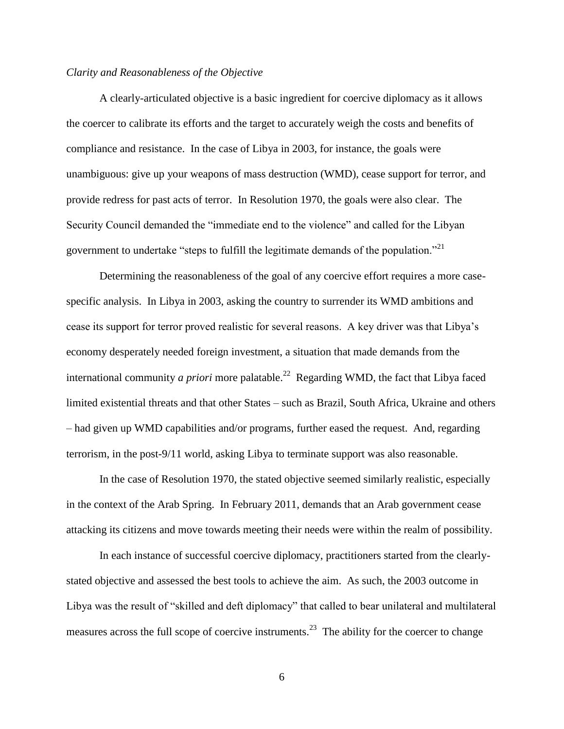# *Clarity and Reasonableness of the Objective*

A clearly-articulated objective is a basic ingredient for coercive diplomacy as it allows the coercer to calibrate its efforts and the target to accurately weigh the costs and benefits of compliance and resistance. In the case of Libya in 2003, for instance, the goals were unambiguous: give up your weapons of mass destruction (WMD), cease support for terror, and provide redress for past acts of terror. In Resolution 1970, the goals were also clear. The Security Council demanded the "immediate end to the violence" and called for the Libyan government to undertake "steps to fulfill the legitimate demands of the population."<sup>21</sup>

Determining the reasonableness of the goal of any coercive effort requires a more casespecific analysis. In Libya in 2003, asking the country to surrender its WMD ambitions and cease its support for terror proved realistic for several reasons. A key driver was that Libya"s economy desperately needed foreign investment, a situation that made demands from the international community *a priori* more palatable.<sup>22</sup> Regarding WMD, the fact that Libya faced limited existential threats and that other States – such as Brazil, South Africa, Ukraine and others – had given up WMD capabilities and/or programs, further eased the request. And, regarding terrorism, in the post-9/11 world, asking Libya to terminate support was also reasonable.

In the case of Resolution 1970, the stated objective seemed similarly realistic, especially in the context of the Arab Spring. In February 2011, demands that an Arab government cease attacking its citizens and move towards meeting their needs were within the realm of possibility.

In each instance of successful coercive diplomacy, practitioners started from the clearlystated objective and assessed the best tools to achieve the aim. As such, the 2003 outcome in Libya was the result of "skilled and deft diplomacy" that called to bear unilateral and multilateral measures across the full scope of coercive instruments.<sup>23</sup> The ability for the coercer to change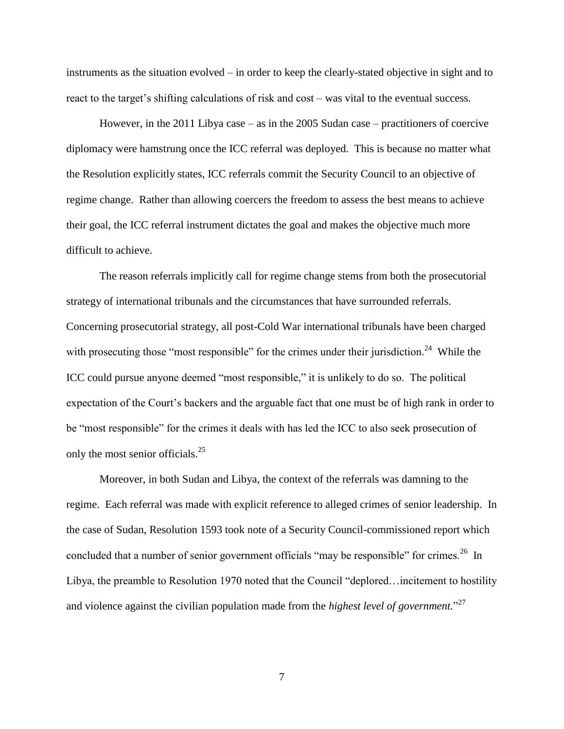instruments as the situation evolved – in order to keep the clearly-stated objective in sight and to react to the target's shifting calculations of risk and cost – was vital to the eventual success.

However, in the 2011 Libya case – as in the 2005 Sudan case – practitioners of coercive diplomacy were hamstrung once the ICC referral was deployed. This is because no matter what the Resolution explicitly states, ICC referrals commit the Security Council to an objective of regime change. Rather than allowing coercers the freedom to assess the best means to achieve their goal, the ICC referral instrument dictates the goal and makes the objective much more difficult to achieve.

The reason referrals implicitly call for regime change stems from both the prosecutorial strategy of international tribunals and the circumstances that have surrounded referrals. Concerning prosecutorial strategy, all post-Cold War international tribunals have been charged with prosecuting those "most responsible" for the crimes under their jurisdiction.<sup>24</sup> While the ICC could pursue anyone deemed "most responsible," it is unlikely to do so. The political expectation of the Court"s backers and the arguable fact that one must be of high rank in order to be "most responsible" for the crimes it deals with has led the ICC to also seek prosecution of only the most senior officials.<sup>25</sup>

Moreover, in both Sudan and Libya, the context of the referrals was damning to the regime. Each referral was made with explicit reference to alleged crimes of senior leadership. In the case of Sudan, Resolution 1593 took note of a Security Council-commissioned report which concluded that a number of senior government officials "may be responsible" for crimes.<sup>26</sup> In Libya, the preamble to Resolution 1970 noted that the Council "deplored…incitement to hostility and violence against the civilian population made from the *highest level of government.*" 27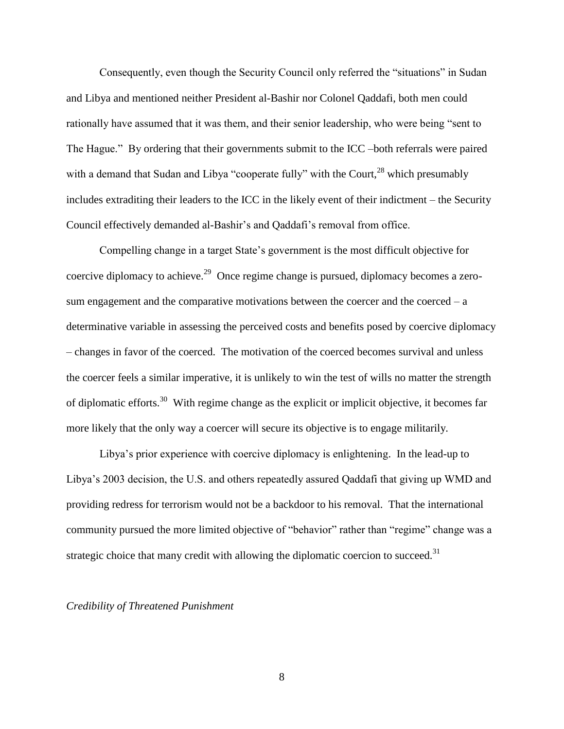Consequently, even though the Security Council only referred the "situations" in Sudan and Libya and mentioned neither President al-Bashir nor Colonel Qaddafi, both men could rationally have assumed that it was them, and their senior leadership, who were being "sent to The Hague." By ordering that their governments submit to the ICC –both referrals were paired with a demand that Sudan and Libya "cooperate fully" with the Court,  $28$  which presumably includes extraditing their leaders to the ICC in the likely event of their indictment – the Security Council effectively demanded al-Bashir"s and Qaddafi"s removal from office.

Compelling change in a target State"s government is the most difficult objective for coercive diplomacy to achieve.<sup>29</sup> Once regime change is pursued, diplomacy becomes a zerosum engagement and the comparative motivations between the coercer and the coerced  $-$  a determinative variable in assessing the perceived costs and benefits posed by coercive diplomacy – changes in favor of the coerced. The motivation of the coerced becomes survival and unless the coercer feels a similar imperative, it is unlikely to win the test of wills no matter the strength of diplomatic efforts.<sup>30</sup> With regime change as the explicit or implicit objective, it becomes far more likely that the only way a coercer will secure its objective is to engage militarily.

Libya"s prior experience with coercive diplomacy is enlightening. In the lead-up to Libya"s 2003 decision, the U.S. and others repeatedly assured Qaddafi that giving up WMD and providing redress for terrorism would not be a backdoor to his removal. That the international community pursued the more limited objective of "behavior" rather than "regime" change was a strategic choice that many credit with allowing the diplomatic coercion to succeed.<sup>31</sup>

### *Credibility of Threatened Punishment*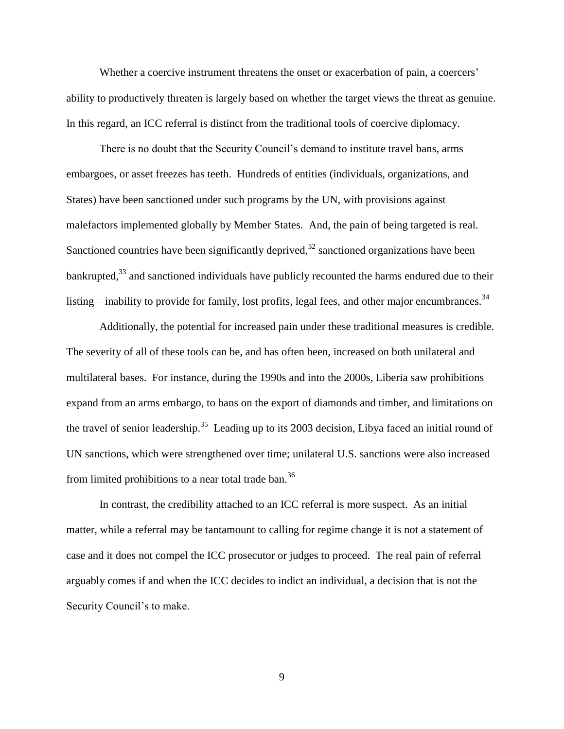Whether a coercive instrument threatens the onset or exacerbation of pain, a coercers' ability to productively threaten is largely based on whether the target views the threat as genuine. In this regard, an ICC referral is distinct from the traditional tools of coercive diplomacy.

There is no doubt that the Security Council"s demand to institute travel bans, arms embargoes, or asset freezes has teeth. Hundreds of entities (individuals, organizations, and States) have been sanctioned under such programs by the UN, with provisions against malefactors implemented globally by Member States. And, the pain of being targeted is real. Sanctioned countries have been significantly deprived, $32$  sanctioned organizations have been bankrupted,<sup>33</sup> and sanctioned individuals have publicly recounted the harms endured due to their listing  $-$  inability to provide for family, lost profits, legal fees, and other major encumbrances.<sup>34</sup>

Additionally, the potential for increased pain under these traditional measures is credible. The severity of all of these tools can be, and has often been, increased on both unilateral and multilateral bases. For instance, during the 1990s and into the 2000s, Liberia saw prohibitions expand from an arms embargo, to bans on the export of diamonds and timber, and limitations on the travel of senior leadership.<sup>35</sup> Leading up to its 2003 decision, Libya faced an initial round of UN sanctions, which were strengthened over time; unilateral U.S. sanctions were also increased from limited prohibitions to a near total trade ban.<sup>36</sup>

In contrast, the credibility attached to an ICC referral is more suspect. As an initial matter, while a referral may be tantamount to calling for regime change it is not a statement of case and it does not compel the ICC prosecutor or judges to proceed. The real pain of referral arguably comes if and when the ICC decides to indict an individual, a decision that is not the Security Council's to make.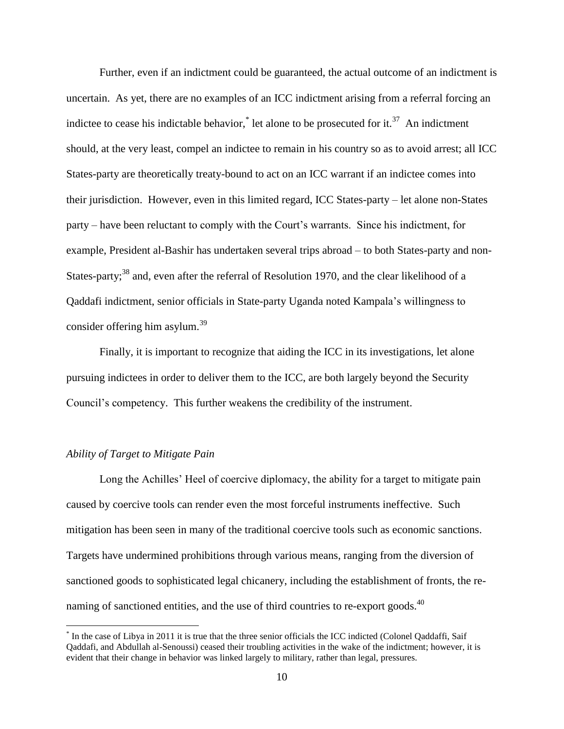Further, even if an indictment could be guaranteed, the actual outcome of an indictment is uncertain. As yet, there are no examples of an ICC indictment arising from a referral forcing an indictee to cease his indictable behavior,<sup>\*</sup> let alone to be prosecuted for it.<sup>37</sup> An indictment should, at the very least, compel an indictee to remain in his country so as to avoid arrest; all ICC States-party are theoretically treaty-bound to act on an ICC warrant if an indictee comes into their jurisdiction. However, even in this limited regard, ICC States-party – let alone non-States party – have been reluctant to comply with the Court"s warrants. Since his indictment, for example, President al-Bashir has undertaken several trips abroad – to both States-party and non-States-party;<sup>38</sup> and, even after the referral of Resolution 1970, and the clear likelihood of a Qaddafi indictment, senior officials in State-party Uganda noted Kampala"s willingness to consider offering him asylum.<sup>39</sup>

Finally, it is important to recognize that aiding the ICC in its investigations, let alone pursuing indictees in order to deliver them to the ICC, are both largely beyond the Security Council"s competency. This further weakens the credibility of the instrument.

# *Ability of Target to Mitigate Pain*

 $\overline{a}$ 

Long the Achilles' Heel of coercive diplomacy, the ability for a target to mitigate pain caused by coercive tools can render even the most forceful instruments ineffective. Such mitigation has been seen in many of the traditional coercive tools such as economic sanctions. Targets have undermined prohibitions through various means, ranging from the diversion of sanctioned goods to sophisticated legal chicanery, including the establishment of fronts, the renaming of sanctioned entities, and the use of third countries to re-export goods.<sup>40</sup>

<sup>\*</sup> In the case of Libya in 2011 it is true that the three senior officials the ICC indicted (Colonel Qaddaffi, Saif Qaddafi, and Abdullah al-Senoussi) ceased their troubling activities in the wake of the indictment; however, it is evident that their change in behavior was linked largely to military, rather than legal, pressures.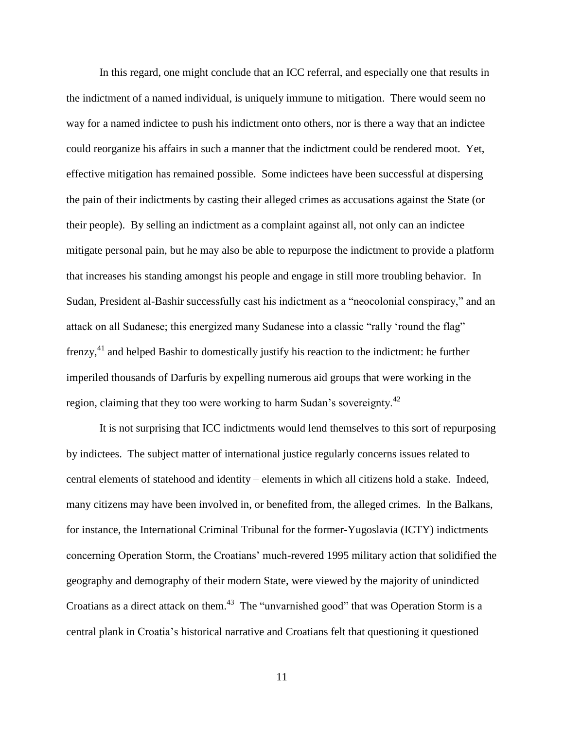In this regard, one might conclude that an ICC referral, and especially one that results in the indictment of a named individual, is uniquely immune to mitigation. There would seem no way for a named indictee to push his indictment onto others, nor is there a way that an indictee could reorganize his affairs in such a manner that the indictment could be rendered moot. Yet, effective mitigation has remained possible. Some indictees have been successful at dispersing the pain of their indictments by casting their alleged crimes as accusations against the State (or their people). By selling an indictment as a complaint against all, not only can an indictee mitigate personal pain, but he may also be able to repurpose the indictment to provide a platform that increases his standing amongst his people and engage in still more troubling behavior. In Sudan, President al-Bashir successfully cast his indictment as a "neocolonial conspiracy," and an attack on all Sudanese; this energized many Sudanese into a classic "rally "round the flag" frenzy,<sup>41</sup> and helped Bashir to domestically justify his reaction to the indictment: he further imperiled thousands of Darfuris by expelling numerous aid groups that were working in the region, claiming that they too were working to harm Sudan's sovereignty.<sup>42</sup>

It is not surprising that ICC indictments would lend themselves to this sort of repurposing by indictees. The subject matter of international justice regularly concerns issues related to central elements of statehood and identity – elements in which all citizens hold a stake. Indeed, many citizens may have been involved in, or benefited from, the alleged crimes. In the Balkans, for instance, the International Criminal Tribunal for the former-Yugoslavia (ICTY) indictments concerning Operation Storm, the Croatians" much-revered 1995 military action that solidified the geography and demography of their modern State, were viewed by the majority of unindicted Croatians as a direct attack on them. $43$  The "unvarnished good" that was Operation Storm is a central plank in Croatia"s historical narrative and Croatians felt that questioning it questioned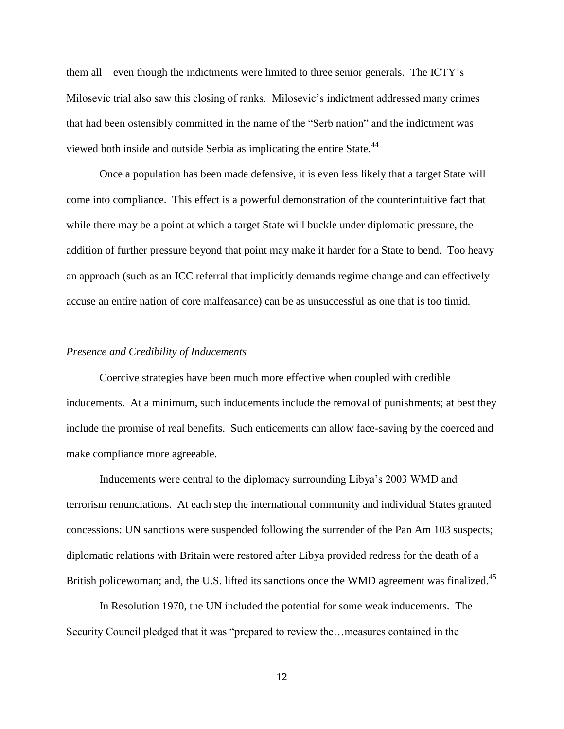them all – even though the indictments were limited to three senior generals. The ICTY"s Milosevic trial also saw this closing of ranks. Milosevic's indictment addressed many crimes that had been ostensibly committed in the name of the "Serb nation" and the indictment was viewed both inside and outside Serbia as implicating the entire State.<sup>44</sup>

Once a population has been made defensive, it is even less likely that a target State will come into compliance. This effect is a powerful demonstration of the counterintuitive fact that while there may be a point at which a target State will buckle under diplomatic pressure, the addition of further pressure beyond that point may make it harder for a State to bend. Too heavy an approach (such as an ICC referral that implicitly demands regime change and can effectively accuse an entire nation of core malfeasance) can be as unsuccessful as one that is too timid.

#### *Presence and Credibility of Inducements*

Coercive strategies have been much more effective when coupled with credible inducements. At a minimum, such inducements include the removal of punishments; at best they include the promise of real benefits. Such enticements can allow face-saving by the coerced and make compliance more agreeable.

Inducements were central to the diplomacy surrounding Libya"s 2003 WMD and terrorism renunciations. At each step the international community and individual States granted concessions: UN sanctions were suspended following the surrender of the Pan Am 103 suspects; diplomatic relations with Britain were restored after Libya provided redress for the death of a British policewoman; and, the U.S. lifted its sanctions once the WMD agreement was finalized.<sup>45</sup>

In Resolution 1970, the UN included the potential for some weak inducements. The Security Council pledged that it was "prepared to review the…measures contained in the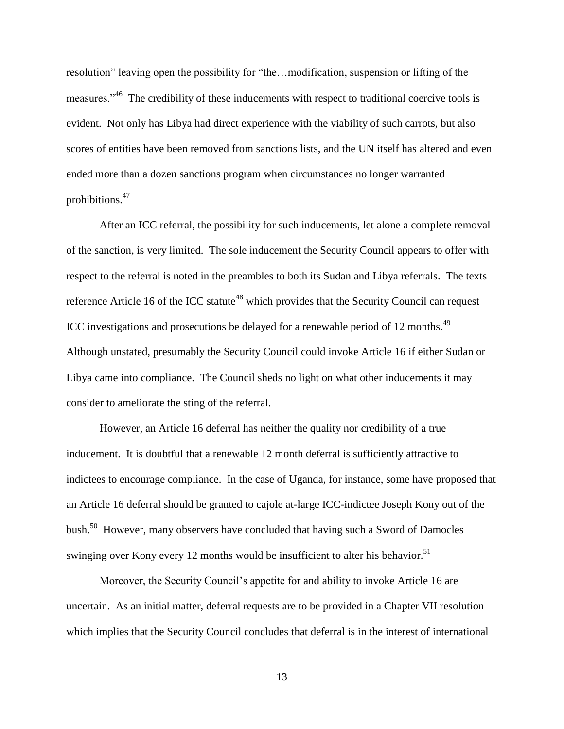resolution" leaving open the possibility for "the…modification, suspension or lifting of the measures."<sup>46</sup> The credibility of these inducements with respect to traditional coercive tools is evident. Not only has Libya had direct experience with the viability of such carrots, but also scores of entities have been removed from sanctions lists, and the UN itself has altered and even ended more than a dozen sanctions program when circumstances no longer warranted prohibitions.<sup>47</sup>

After an ICC referral, the possibility for such inducements, let alone a complete removal of the sanction, is very limited. The sole inducement the Security Council appears to offer with respect to the referral is noted in the preambles to both its Sudan and Libya referrals. The texts reference Article 16 of the ICC statute<sup>48</sup> which provides that the Security Council can request ICC investigations and prosecutions be delayed for a renewable period of 12 months. $^{49}$ Although unstated, presumably the Security Council could invoke Article 16 if either Sudan or Libya came into compliance. The Council sheds no light on what other inducements it may consider to ameliorate the sting of the referral.

However, an Article 16 deferral has neither the quality nor credibility of a true inducement. It is doubtful that a renewable 12 month deferral is sufficiently attractive to indictees to encourage compliance. In the case of Uganda, for instance, some have proposed that an Article 16 deferral should be granted to cajole at-large ICC-indictee Joseph Kony out of the bush.<sup>50</sup> However, many observers have concluded that having such a Sword of Damocles swinging over Kony every 12 months would be insufficient to alter his behavior.<sup>51</sup>

Moreover, the Security Council's appetite for and ability to invoke Article 16 are uncertain. As an initial matter, deferral requests are to be provided in a Chapter VII resolution which implies that the Security Council concludes that deferral is in the interest of international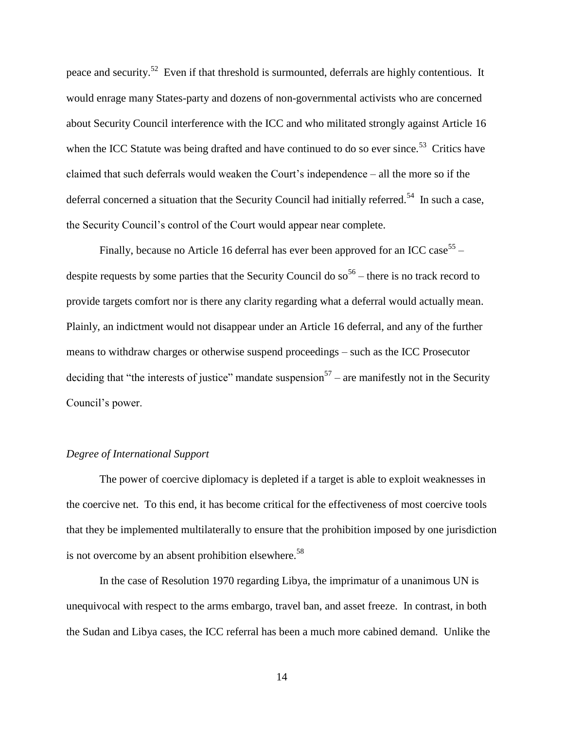peace and security.<sup>52</sup> Even if that threshold is surmounted, deferrals are highly contentious. It would enrage many States-party and dozens of non-governmental activists who are concerned about Security Council interference with the ICC and who militated strongly against Article 16 when the ICC Statute was being drafted and have continued to do so ever since.<sup>53</sup> Critics have claimed that such deferrals would weaken the Court"s independence – all the more so if the deferral concerned a situation that the Security Council had initially referred.<sup>54</sup> In such a case, the Security Council"s control of the Court would appear near complete.

Finally, because no Article 16 deferral has ever been approved for an ICC case<sup>55</sup> – despite requests by some parties that the Security Council do  $so<sup>56</sup>$  – there is no track record to provide targets comfort nor is there any clarity regarding what a deferral would actually mean. Plainly, an indictment would not disappear under an Article 16 deferral, and any of the further means to withdraw charges or otherwise suspend proceedings – such as the ICC Prosecutor deciding that "the interests of justice" mandate suspension<sup>57</sup> – are manifestly not in the Security Council"s power.

# *Degree of International Support*

The power of coercive diplomacy is depleted if a target is able to exploit weaknesses in the coercive net. To this end, it has become critical for the effectiveness of most coercive tools that they be implemented multilaterally to ensure that the prohibition imposed by one jurisdiction is not overcome by an absent prohibition elsewhere.<sup>58</sup>

In the case of Resolution 1970 regarding Libya, the imprimatur of a unanimous UN is unequivocal with respect to the arms embargo, travel ban, and asset freeze. In contrast, in both the Sudan and Libya cases, the ICC referral has been a much more cabined demand. Unlike the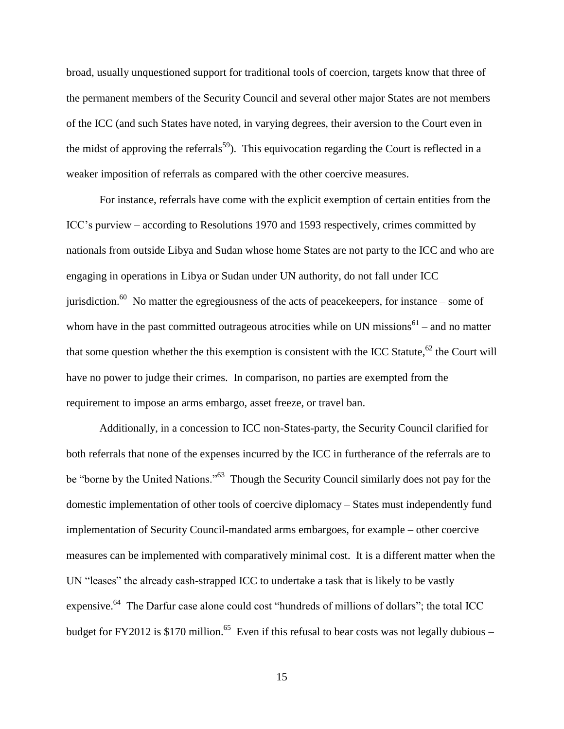broad, usually unquestioned support for traditional tools of coercion, targets know that three of the permanent members of the Security Council and several other major States are not members of the ICC (and such States have noted, in varying degrees, their aversion to the Court even in the midst of approving the referrals<sup>59</sup>). This equivocation regarding the Court is reflected in a weaker imposition of referrals as compared with the other coercive measures.

For instance, referrals have come with the explicit exemption of certain entities from the ICC"s purview – according to Resolutions 1970 and 1593 respectively, crimes committed by nationals from outside Libya and Sudan whose home States are not party to the ICC and who are engaging in operations in Libya or Sudan under UN authority, do not fall under ICC jurisdiction.<sup>60</sup> No matter the egregiousness of the acts of peacekeepers, for instance – some of whom have in the past committed outrageous atrocities while on UN missions<sup>61</sup> – and no matter that some question whether the this exemption is consistent with the ICC Statute,  $62$  the Court will have no power to judge their crimes. In comparison, no parties are exempted from the requirement to impose an arms embargo, asset freeze, or travel ban.

Additionally, in a concession to ICC non-States-party, the Security Council clarified for both referrals that none of the expenses incurred by the ICC in furtherance of the referrals are to be "borne by the United Nations."<sup>63</sup> Though the Security Council similarly does not pay for the domestic implementation of other tools of coercive diplomacy – States must independently fund implementation of Security Council-mandated arms embargoes, for example – other coercive measures can be implemented with comparatively minimal cost. It is a different matter when the UN "leases" the already cash-strapped ICC to undertake a task that is likely to be vastly expensive.<sup>64</sup> The Darfur case alone could cost "hundreds of millions of dollars"; the total ICC budget for FY2012 is \$170 million.<sup>65</sup> Even if this refusal to bear costs was not legally dubious –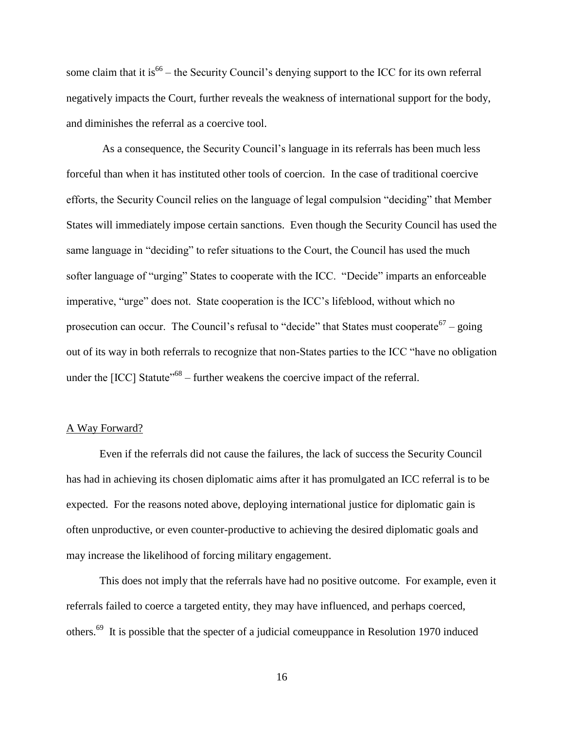some claim that it is<sup>66</sup> – the Security Council's denying support to the ICC for its own referral negatively impacts the Court, further reveals the weakness of international support for the body, and diminishes the referral as a coercive tool.

As a consequence, the Security Council"s language in its referrals has been much less forceful than when it has instituted other tools of coercion. In the case of traditional coercive efforts, the Security Council relies on the language of legal compulsion "deciding" that Member States will immediately impose certain sanctions. Even though the Security Council has used the same language in "deciding" to refer situations to the Court, the Council has used the much softer language of "urging" States to cooperate with the ICC. "Decide" imparts an enforceable imperative, "urge" does not. State cooperation is the ICC"s lifeblood, without which no prosecution can occur. The Council's refusal to "decide" that States must cooperate  $67 -$  going out of its way in both referrals to recognize that non-States parties to the ICC "have no obligation under the  $[ICC]$  Statute<sup> $168$ </sup> – further weakens the coercive impact of the referral.

### A Way Forward?

Even if the referrals did not cause the failures, the lack of success the Security Council has had in achieving its chosen diplomatic aims after it has promulgated an ICC referral is to be expected. For the reasons noted above, deploying international justice for diplomatic gain is often unproductive, or even counter-productive to achieving the desired diplomatic goals and may increase the likelihood of forcing military engagement.

This does not imply that the referrals have had no positive outcome. For example, even it referrals failed to coerce a targeted entity, they may have influenced, and perhaps coerced, others.<sup>69</sup> It is possible that the specter of a judicial comeuppance in Resolution 1970 induced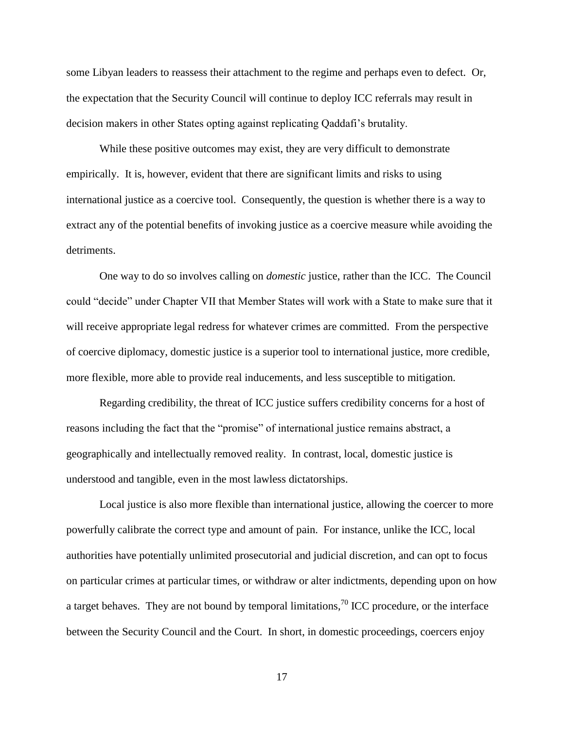some Libyan leaders to reassess their attachment to the regime and perhaps even to defect. Or, the expectation that the Security Council will continue to deploy ICC referrals may result in decision makers in other States opting against replicating Qaddafi"s brutality.

While these positive outcomes may exist, they are very difficult to demonstrate empirically. It is, however, evident that there are significant limits and risks to using international justice as a coercive tool. Consequently, the question is whether there is a way to extract any of the potential benefits of invoking justice as a coercive measure while avoiding the detriments.

One way to do so involves calling on *domestic* justice, rather than the ICC. The Council could "decide" under Chapter VII that Member States will work with a State to make sure that it will receive appropriate legal redress for whatever crimes are committed. From the perspective of coercive diplomacy, domestic justice is a superior tool to international justice, more credible, more flexible, more able to provide real inducements, and less susceptible to mitigation.

Regarding credibility, the threat of ICC justice suffers credibility concerns for a host of reasons including the fact that the "promise" of international justice remains abstract, a geographically and intellectually removed reality. In contrast, local, domestic justice is understood and tangible, even in the most lawless dictatorships.

Local justice is also more flexible than international justice, allowing the coercer to more powerfully calibrate the correct type and amount of pain. For instance, unlike the ICC, local authorities have potentially unlimited prosecutorial and judicial discretion, and can opt to focus on particular crimes at particular times, or withdraw or alter indictments, depending upon on how a target behaves. They are not bound by temporal limitations,  $\frac{70}{10}$  ICC procedure, or the interface between the Security Council and the Court. In short, in domestic proceedings, coercers enjoy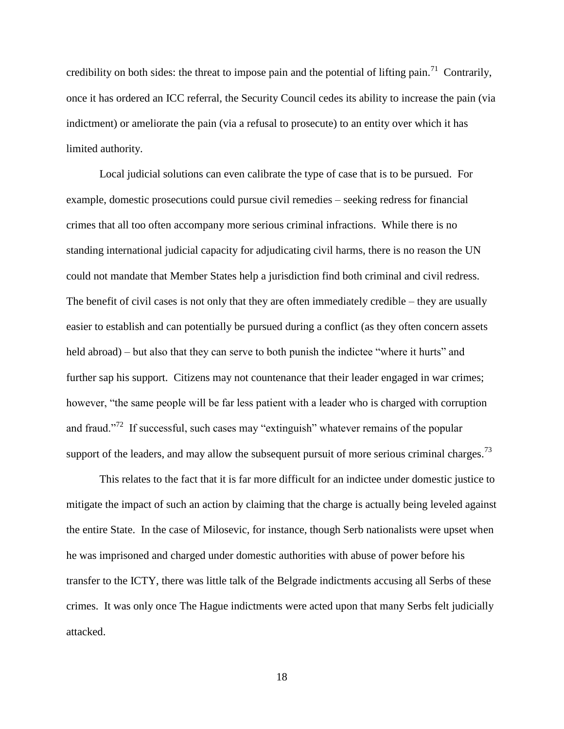credibility on both sides: the threat to impose pain and the potential of lifting pain.<sup>71</sup> Contrarily, once it has ordered an ICC referral, the Security Council cedes its ability to increase the pain (via indictment) or ameliorate the pain (via a refusal to prosecute) to an entity over which it has limited authority.

Local judicial solutions can even calibrate the type of case that is to be pursued. For example, domestic prosecutions could pursue civil remedies – seeking redress for financial crimes that all too often accompany more serious criminal infractions. While there is no standing international judicial capacity for adjudicating civil harms, there is no reason the UN could not mandate that Member States help a jurisdiction find both criminal and civil redress. The benefit of civil cases is not only that they are often immediately credible – they are usually easier to establish and can potentially be pursued during a conflict (as they often concern assets held abroad) – but also that they can serve to both punish the indictee "where it hurts" and further sap his support. Citizens may not countenance that their leader engaged in war crimes; however, "the same people will be far less patient with a leader who is charged with corruption and fraud."<sup>72</sup> If successful, such cases may "extinguish" whatever remains of the popular support of the leaders, and may allow the subsequent pursuit of more serious criminal charges.<sup>73</sup>

This relates to the fact that it is far more difficult for an indictee under domestic justice to mitigate the impact of such an action by claiming that the charge is actually being leveled against the entire State. In the case of Milosevic, for instance, though Serb nationalists were upset when he was imprisoned and charged under domestic authorities with abuse of power before his transfer to the ICTY, there was little talk of the Belgrade indictments accusing all Serbs of these crimes. It was only once The Hague indictments were acted upon that many Serbs felt judicially attacked.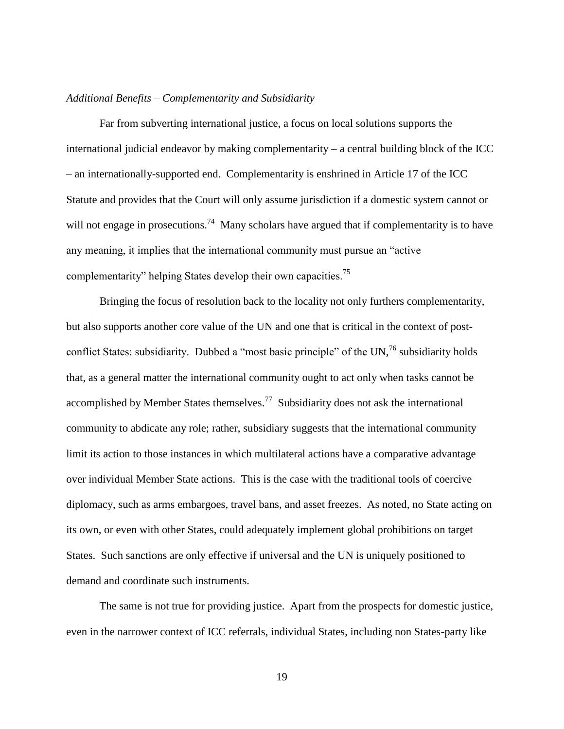## *Additional Benefits – Complementarity and Subsidiarity*

 Far from subverting international justice, a focus on local solutions supports the international judicial endeavor by making complementarity – a central building block of the ICC – an internationally-supported end. Complementarity is enshrined in Article 17 of the ICC Statute and provides that the Court will only assume jurisdiction if a domestic system cannot or will not engage in prosecutions.<sup>74</sup> Many scholars have argued that if complementarity is to have any meaning, it implies that the international community must pursue an "active complementarity" helping States develop their own capacities.<sup>75</sup>

Bringing the focus of resolution back to the locality not only furthers complementarity, but also supports another core value of the UN and one that is critical in the context of postconflict States: subsidiarity. Dubbed a "most basic principle" of the UN,  $^{76}$  subsidiarity holds that, as a general matter the international community ought to act only when tasks cannot be accomplished by Member States themselves.<sup>77</sup> Subsidiarity does not ask the international community to abdicate any role; rather, subsidiary suggests that the international community limit its action to those instances in which multilateral actions have a comparative advantage over individual Member State actions. This is the case with the traditional tools of coercive diplomacy, such as arms embargoes, travel bans, and asset freezes. As noted, no State acting on its own, or even with other States, could adequately implement global prohibitions on target States. Such sanctions are only effective if universal and the UN is uniquely positioned to demand and coordinate such instruments.

The same is not true for providing justice. Apart from the prospects for domestic justice, even in the narrower context of ICC referrals, individual States, including non States-party like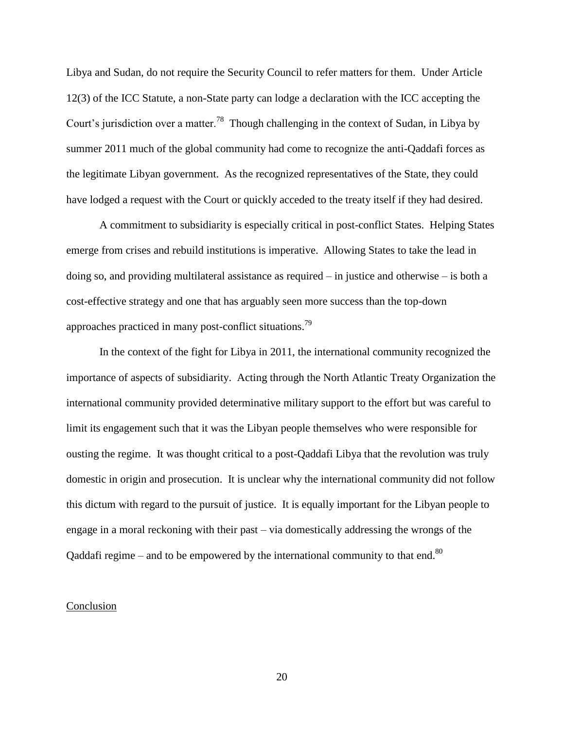Libya and Sudan, do not require the Security Council to refer matters for them. Under Article 12(3) of the ICC Statute, a non-State party can lodge a declaration with the ICC accepting the Court's jurisdiction over a matter.<sup>78</sup> Though challenging in the context of Sudan, in Libya by summer 2011 much of the global community had come to recognize the anti-Qaddafi forces as the legitimate Libyan government. As the recognized representatives of the State, they could have lodged a request with the Court or quickly acceded to the treaty itself if they had desired.

A commitment to subsidiarity is especially critical in post-conflict States. Helping States emerge from crises and rebuild institutions is imperative. Allowing States to take the lead in doing so, and providing multilateral assistance as required  $-$  in justice and otherwise  $-$  is both a cost-effective strategy and one that has arguably seen more success than the top-down approaches practiced in many post-conflict situations.<sup>79</sup>

In the context of the fight for Libya in 2011, the international community recognized the importance of aspects of subsidiarity. Acting through the North Atlantic Treaty Organization the international community provided determinative military support to the effort but was careful to limit its engagement such that it was the Libyan people themselves who were responsible for ousting the regime. It was thought critical to a post-Qaddafi Libya that the revolution was truly domestic in origin and prosecution. It is unclear why the international community did not follow this dictum with regard to the pursuit of justice. It is equally important for the Libyan people to engage in a moral reckoning with their past – via domestically addressing the wrongs of the Qaddafi regime – and to be empowered by the international community to that end. $80$ 

### Conclusion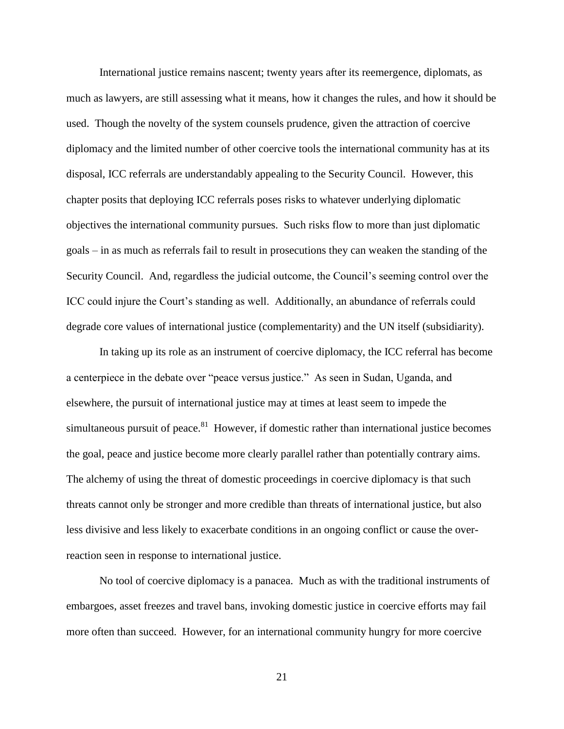International justice remains nascent; twenty years after its reemergence, diplomats, as much as lawyers, are still assessing what it means, how it changes the rules, and how it should be used. Though the novelty of the system counsels prudence, given the attraction of coercive diplomacy and the limited number of other coercive tools the international community has at its disposal, ICC referrals are understandably appealing to the Security Council. However, this chapter posits that deploying ICC referrals poses risks to whatever underlying diplomatic objectives the international community pursues. Such risks flow to more than just diplomatic goals – in as much as referrals fail to result in prosecutions they can weaken the standing of the Security Council. And, regardless the judicial outcome, the Council"s seeming control over the ICC could injure the Court"s standing as well. Additionally, an abundance of referrals could degrade core values of international justice (complementarity) and the UN itself (subsidiarity).

In taking up its role as an instrument of coercive diplomacy, the ICC referral has become a centerpiece in the debate over "peace versus justice." As seen in Sudan, Uganda, and elsewhere, the pursuit of international justice may at times at least seem to impede the simultaneous pursuit of peace.<sup>81</sup> However, if domestic rather than international justice becomes the goal, peace and justice become more clearly parallel rather than potentially contrary aims. The alchemy of using the threat of domestic proceedings in coercive diplomacy is that such threats cannot only be stronger and more credible than threats of international justice, but also less divisive and less likely to exacerbate conditions in an ongoing conflict or cause the overreaction seen in response to international justice.

No tool of coercive diplomacy is a panacea. Much as with the traditional instruments of embargoes, asset freezes and travel bans, invoking domestic justice in coercive efforts may fail more often than succeed. However, for an international community hungry for more coercive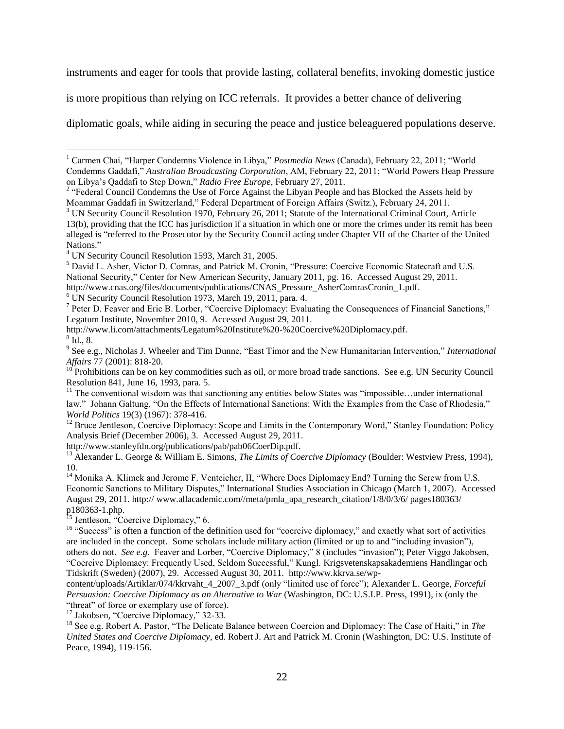instruments and eager for tools that provide lasting, collateral benefits, invoking domestic justice

is more propitious than relying on ICC referrals. It provides a better chance of delivering

diplomatic goals, while aiding in securing the peace and justice beleaguered populations deserve.

<sup>7</sup> Peter D. Feaver and Eric B. Lorber, "Coercive Diplomacy: Evaluating the Consequences of Financial Sanctions," Legatum Institute, November 2010, 9. Accessed August 29, 2011.

http://www.li.com/attachments/Legatum%20Institute%20-%20Coercive%20Diplomacy.pdf.

 $^8$  Id., 8.

 $\overline{a}$ 

9 See e.g., Nicholas J. Wheeler and Tim Dunne, "East Timor and the New Humanitarian Intervention," *International Affairs* 77 (2001): 818-20.

 $10^{10}$  Prohibitions can be on key commodities such as oil, or more broad trade sanctions. See e.g. UN Security Council Resolution 841, June 16, 1993, para. 5.

 $11$  The conventional wisdom was that sanctioning any entities below States was "impossible... under international law." Johann Galtung, "On the Effects of International Sanctions: With the Examples from the Case of Rhodesia," *World Politics* 19(3) (1967): 378-416.

 $12$  Bruce Jentleson, Coercive Diplomacy: Scope and Limits in the Contemporary Word," Stanley Foundation: Policy Analysis Brief (December 2006), 3. Accessed August 29, 2011.

http://www.stanleyfdn.org/publications/pab/pab06CoerDip.pdf.

<sup>13</sup> Alexander L. George & William E. Simons, *The Limits of Coercive Diplomacy* (Boulder: Westview Press, 1994), 10.

<sup>14</sup> Monika A. Klimek and Jerome F. Venteicher, II, "Where Does Diplomacy End? Turning the Screw from U.S. Economic Sanctions to Military Disputes," International Studies Association in Chicago (March 1, 2007). Accessed August 29, 2011. http:// www.allacademic.com//meta/pmla\_apa\_research\_citation/1/8/0/3/6/ pages180363/ p180363-1.php.

<sup>15</sup> Jentleson, "Coercive Diplomacy," 6.

<sup>16</sup> "Success" is often a function of the definition used for "coercive diplomacy," and exactly what sort of activities are included in the concept. Some scholars include military action (limited or up to and "including invasion"), others do not. *See e.g.* Feaver and Lorber, "Coercive Diplomacy," 8 (includes "invasion"); Peter Viggo Jakobsen, "Coercive Diplomacy: Frequently Used, Seldom Successful," Kungl. Krigsvetenskapsakademiens Handlingar och Tidskrift (Sweden) (2007), 29. Accessed August 30, 2011. http://www.kkrva.se/wp-

content/uploads/Artiklar/074/kkrvaht\_4\_2007\_3.pdf (only "limited use of force"); Alexander L. George, *Forceful Persuasion: Coercive Diplomacy as an Alternative to War (Washington, DC: U.S.I.P. Press, 1991), ix (only the* "threat" of force or exemplary use of force).

<sup>17</sup> Jakobsen, "Coercive Diplomacy," 32-33.

<sup>18</sup> See e.g. Robert A. Pastor, "The Delicate Balance between Coercion and Diplomacy: The Case of Haiti," in *The United States and Coercive Diplomacy*, ed. Robert J. Art and Patrick M. Cronin (Washington, DC: U.S. Institute of Peace, 1994), 119-156.

<sup>1</sup> Carmen Chai, "Harper Condemns Violence in Libya," *Postmedia News* (Canada), February 22, 2011; "World Condemns Gaddafi," *Australian Broadcasting Corporation*, AM, February 22, 2011; "World Powers Heap Pressure

on Libya's Qaddafi to Step Down," *Radio Free Europe*, February 27, 2011.<br><sup>2</sup> "Federal Council Condemns the Use of Force Against the Libyan People and has Blocked the Assets held by Moammar Gaddafi in Switzerland," Federal Department of Foreign Affairs (Switz.), February 24, 2011.

<sup>&</sup>lt;sup>3</sup> UN Security Council Resolution 1970, February 26, 2011; Statute of the International Criminal Court, Article 13(b), providing that the ICC has jurisdiction if a situation in which one or more the crimes under its remit has been alleged is "referred to the Prosecutor by the Security Council acting under Chapter VII of the Charter of the United Nations."

<sup>4</sup> UN Security Council Resolution 1593, March 31, 2005.

<sup>5</sup> David L. Asher, Victor D. Comras, and Patrick M. Cronin, "Pressure: Coercive Economic Statecraft and U.S. National Security," Center for New American Security, January 2011, pg. 16. Accessed August 29, 2011.

http://www.cnas.org/files/documents/publications/CNAS\_Pressure\_AsherComrasCronin\_1.pdf.

<sup>6</sup> UN Security Council Resolution 1973, March 19, 2011, para. 4.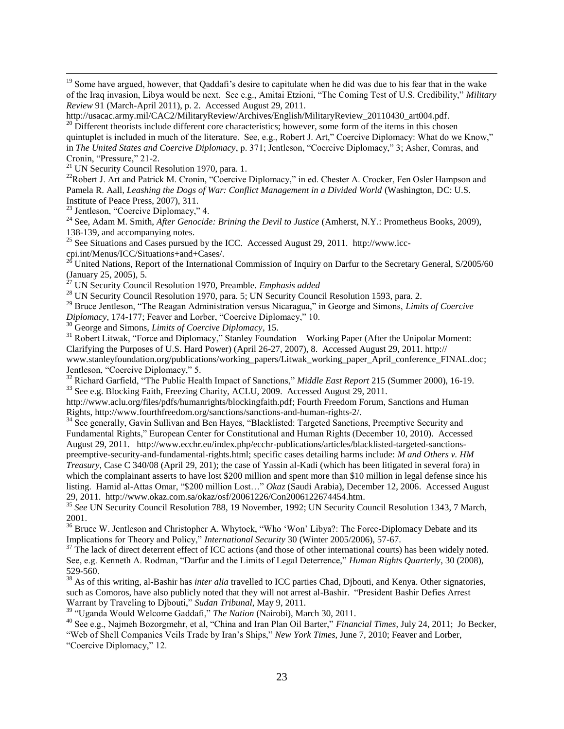<sup>19</sup> Some have argued, however, that Qaddafi's desire to capitulate when he did was due to his fear that in the wake of the Iraq invasion, Libya would be next. See e.g., Amitai Etzioni, "The Coming Test of U.S. Credibility," *Military Review* 91 (March-April 2011), p. 2. Accessed August 29, 2011.

http://usacac.army.mil/CAC2/MilitaryReview/Archives/English/MilitaryReview\_20110430\_art004.pdf. <sup>20</sup> Different theorists include different core characteristics; however, some form of the items in this chosen quintuplet is included in much of the literature. See, e.g., Robert J. Art," Coercive Diplomacy: What do we Know," in *The United States and Coercive Diplomacy*, p. 371; Jentleson, "Coercive Diplomacy," 3; Asher, Comras, and Cronin, "Pressure," 21-2.

 $21$  UN Security Council Resolution 1970, para. 1.

<sup>22</sup>Robert J. Art and Patrick M. Cronin, "Coercive Diplomacy," in ed. Chester A. Crocker, Fen Osler Hampson and Pamela R. Aall, *Leashing the Dogs of War: Conflict Management in a Divided World* (Washington, DC: U.S. Institute of Peace Press, 2007), 311.

<sup>23</sup> Jentleson, "Coercive Diplomacy," 4.

 $\overline{a}$ 

<sup>24</sup> See, Adam M. Smith, *After Genocide: Brining the Devil to Justice* (Amherst, N.Y.: Prometheus Books, 2009), 138-139, and accompanying notes.

<sup>25</sup> See Situations and Cases pursued by the ICC. Accessed August 29, 2011. http://www.icccpi.int/Menus/ICC/Situations+and+Cases/.<br> $26 \text{ T}$ 

<sup>26</sup> United Nations, Report of the International Commission of Inquiry on Darfur to the Secretary General, S/2005/60 (January 25, 2005), 5.

<sup>27</sup> UN Security Council Resolution 1970, Preamble. *Emphasis added*

<sup>28</sup> UN Security Council Resolution 1970, para. 5; UN Security Council Resolution 1593, para. 2.

<sup>29</sup> Bruce Jentleson, "The Reagan Administration versus Nicaragua," in George and Simons, *Limits of Coercive Diplomacy*, 174-177; Feaver and Lorber, "Coercive Diplomacy," 10.

<sup>30</sup> George and Simons, *Limits of Coercive Diplomacy*, 15.

<sup>31</sup> Robert Litwak, "Force and Diplomacy," Stanley Foundation – Working Paper (After the Unipolar Moment: Clarifying the Purposes of U.S. Hard Power) (April 26-27, 2007), 8. Accessed August 29, 2011. http:// www.stanleyfoundation.org/publications/working\_papers/Litwak\_working\_paper\_April\_conference\_FINAL.doc; Jentleson, "Coercive Diplomacy," 5.

<sup>32</sup> Richard Garfield, "The Public Health Impact of Sanctions," *Middle East Report* 215 (Summer 2000), 16-19. <sup>33</sup> See e.g. Blocking Faith, Freezing Charity, ACLU, 2009. Accessed August 29, 2011.

http://www.aclu.org/files/pdfs/humanrights/blockingfaith.pdf; Fourth Freedom Forum, Sanctions and Human Rights, http://www.fourthfreedom.org/sanctions/sanctions-and-human-rights-2/.

<sup>34</sup> See generally, Gavin Sullivan and Ben Hayes, "Blacklisted: Targeted Sanctions, Preemptive Security and Fundamental Rights," European Center for Constitutional and Human Rights (December 10, 2010). Accessed August 29, 2011. http://www.ecchr.eu/index.php/ecchr-publications/articles/blacklisted-targeted-sanctionspreemptive-security-and-fundamental-rights.html; specific cases detailing harms include: *M and Others v. HM Treasury*, Case C 340/08 (April 29, 201); the case of Yassin al-Kadi (which has been litigated in several fora) in which the complainant asserts to have lost \$200 million and spent more than \$10 million in legal defense since his listing. Hamid al-Attas Omar, "\$200 million Lost…" *Okaz* (Saudi Arabia), December 12, 2006. Accessed August

29, 2011. http://www.okaz.com.sa/okaz/osf/20061226/Con2006122674454.htm.

<sup>35</sup> See UN Security Council Resolution 788, 19 November, 1992; UN Security Council Resolution 1343, 7 March, 2001.

<sup>36</sup> Bruce W. Jentleson and Christopher A. Whytock, "Who 'Won' Libya?: The Force-Diplomacy Debate and its Implications for Theory and Policy," *International Security* 30 (Winter 2005/2006), 57-67.

 $37$  The lack of direct deterrent effect of ICC actions (and those of other international courts) has been widely noted. See, e.g. Kenneth A. Rodman, "Darfur and the Limits of Legal Deterrence," *Human Rights Quarterly*, 30 (2008), 529-560.

<sup>38</sup> As of this writing, al-Bashir has *inter alia* travelled to ICC parties Chad, Djbouti, and Kenya. Other signatories, such as Comoros, have also publicly noted that they will not arrest al-Bashir. "President Bashir Defies Arrest Warrant by Traveling to Djbouti," *Sudan Tribunal*, May 9, 2011.

<sup>39</sup> "Uganda Would Welcome Gaddafi," *The Nation* (Nairobi), March 30, 2011.

<sup>40</sup> See e.g., Najmeh Bozorgmehr, et al, "China and Iran Plan Oil Barter," *Financial Times*, July 24, 2011; Jo Becker, "Web of Shell Companies Veils Trade by Iran"s Ships," *New York Times*, June 7, 2010; Feaver and Lorber, "Coercive Diplomacy," 12.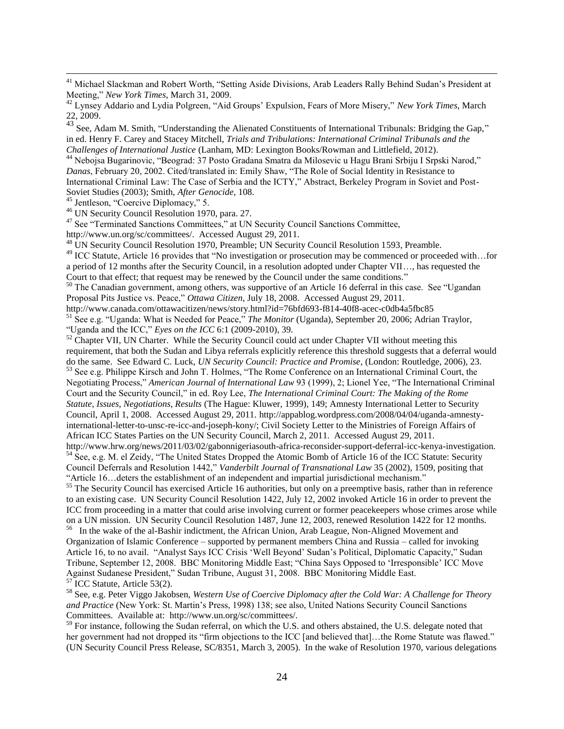<sup>41</sup> Michael Slackman and Robert Worth, "Setting Aside Divisions, Arab Leaders Rally Behind Sudan's President at Meeting," *New York Times*, March 31, 2009.

<sup>43</sup> See, Adam M. Smith, "Understanding the Alienated Constituents of International Tribunals: Bridging the Gap," in ed. Henry F. Carey and Stacey Mitchell, *Trials and Tribulations: International Criminal Tribunals and the Challenges of International Justice* (Lanham, MD: Lexington Books/Rowman and Littlefield, 2012).

<sup>44</sup> Nebojsa Bugarinovic, "Beograd: 37 Posto Gradana Smatra da Milosevic u Hagu Brani Srbiju I Srpski Narod," *Danas*, February 20, 2002. Cited/translated in: Emily Shaw, "The Role of Social Identity in Resistance to International Criminal Law: The Case of Serbia and the ICTY," Abstract, Berkeley Program in Soviet and Post-Soviet Studies (2003); Smith, *After Genocide*, 108.

<sup>45</sup> Jentleson, "Coercive Diplomacy," 5.

 $\overline{a}$ 

<sup>46</sup> UN Security Council Resolution 1970, para. 27.

<sup>47</sup> See "Terminated Sanctions Committees," at UN Security Council Sanctions Committee,

http://www.un.org/sc/committees/. Accessed August 29, 2011.

<sup>48</sup> UN Security Council Resolution 1970, Preamble; UN Security Council Resolution 1593, Preamble.

<sup>49</sup> ICC Statute, Article 16 provides that "No investigation or prosecution may be commenced or proceeded with...for a period of 12 months after the Security Council, in a resolution adopted under Chapter VII…, has requested the Court to that effect; that request may be renewed by the Council under the same conditions."

<sup>50</sup> The Canadian government, among others, was supportive of an Article 16 deferral in this case. See "Ugandan Proposal Pits Justice vs. Peace," *Ottawa Citizen*, July 18, 2008. Accessed August 29, 2011.

http://www.canada.com/ottawacitizen/news/story.html?id=76bfd693-f814-40f8-acec-c0db4a5fbc85 <sup>51</sup> See e.g. "Uganda: What is Needed for Peace," *The Monitor* (Uganda), September 20, 2006; Adrian Traylor, "Uganda and the ICC," *Eyes on the ICC* 6:1 (2009-2010), 39.

<sup>52</sup> Chapter VII, UN Charter. While the Security Council could act under Chapter VII without meeting this requirement, that both the Sudan and Libya referrals explicitly reference this threshold suggests that a deferral would do the same. See Edward C. Luck, *UN Security Council: Practice and Promise*, (London: Routledge, 2006), 23. <sup>53</sup> See e.g. Philippe Kirsch and John T. Holmes, "The Rome Conference on an International Criminal Court, the Negotiating Process," *American Journal of International Law* 93 (1999), 2; Lionel Yee, "The International Criminal

Court and the Security Council," in ed. Roy Lee, *The International Criminal Court: The Making of the Rome Statute, Issues, Negotiations, Results* (The Hague: Kluwer, 1999), 149; Amnesty International Letter to Security Council, April 1, 2008. Accessed August 29, 2011. http://appablog.wordpress.com/2008/04/04/uganda-amnestyinternational-letter-to-unsc-re-icc-and-joseph-kony/; Civil Society Letter to the Ministries of Foreign Affairs of African ICC States Parties on the UN Security Council, March 2, 2011. Accessed August 29, 2011.

http://www.hrw.org/news/2011/03/02/gabonnigeriasouth-africa-reconsider-support-deferral-icc-kenya-investigation. <sup>54</sup> See, e.g. M. el Zeidy, "The United States Dropped the Atomic Bomb of Article 16 of the ICC Statute: Security Council Deferrals and Resolution 1442," *Vanderbilt Journal of Transnational Law* 35 (2002), 1509, positing that "Article 16…deters the establishment of an independent and impartial jurisdictional mechanism."

 $55$  The Security Council has exercised Article 16 authorities, but only on a preemptive basis, rather than in reference to an existing case. UN Security Council Resolution 1422, July 12, 2002 invoked Article 16 in order to prevent the ICC from proceeding in a matter that could arise involving current or former peacekeepers whose crimes arose while on a UN mission. UN Security Council Resolution 1487, June 12, 2003, renewed Resolution 1422 for 12 months.<br><sup>56</sup> In the wake of the al-Bashir indictment, the African Union, Arab League, Non-Aligned Movement and

Organization of Islamic Conference – supported by permanent members China and Russia – called for invoking Article 16, to no avail. "Analyst Says ICC Crisis "Well Beyond" Sudan"s Political, Diplomatic Capacity," Sudan Tribune, September 12, 2008. BBC Monitoring Middle East; "China Says Opposed to "Irresponsible" ICC Move Against Sudanese President," Sudan Tribune, August 31, 2008. BBC Monitoring Middle East. ICC Statute, Article 53(2).

<sup>58</sup> See, e.g. Peter Viggo Jakobsen, *Western Use of Coercive Diplomacy after the Cold War: A Challenge for Theory and Practice* (New York: St. Martin"s Press, 1998) 138; see also, United Nations Security Council Sanctions Committees. Available at: http://www.un.org/sc/committees/.

<sup>59</sup> For instance, following the Sudan referral, on which the U.S. and others abstained, the U.S. delegate noted that her government had not dropped its "firm objections to the ICC [and believed that]...the Rome Statute was flawed." (UN Security Council Press Release, SC/8351, March 3, 2005). In the wake of Resolution 1970, various delegations

<sup>42</sup> Lynsey Addario and Lydia Polgreen, "Aid Groups" Expulsion, Fears of More Misery," *New York Times*, March 22, 2009.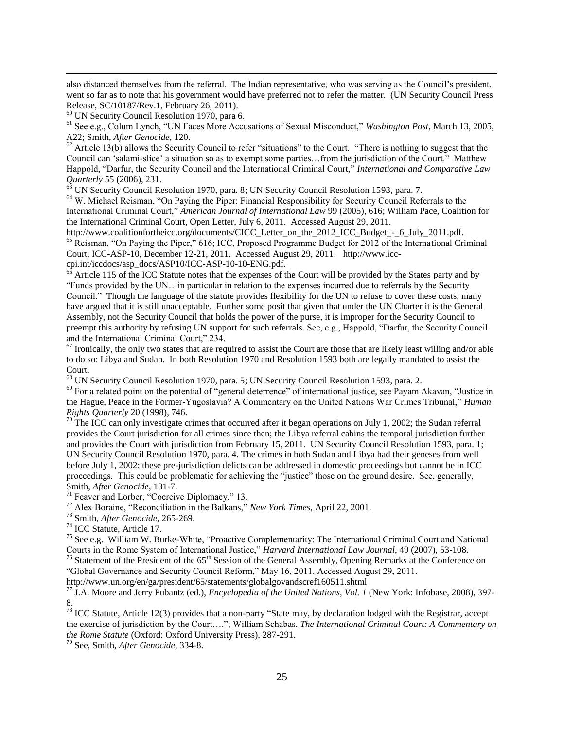also distanced themselves from the referral. The Indian representative, who was serving as the Council's president, went so far as to note that his government would have preferred not to refer the matter. (UN Security Council Press Release, SC/10187/Rev.1, February 26, 2011).

<sup>60</sup> UN Security Council Resolution 1970, para 6.

 $\overline{a}$ 

<sup>61</sup> See e.g., Colum Lynch, "UN Faces More Accusations of Sexual Misconduct," *Washington Post*, March 13, 2005, A22; Smith, *After Genocide*, 120.

 $62$  Article 13(b) allows the Security Council to refer "situations" to the Court. "There is nothing to suggest that the Council can "salami-slice" a situation so as to exempt some parties…from the jurisdiction of the Court." Matthew Happold, "Darfur, the Security Council and the International Criminal Court," *International and Comparative Law Quarterly* 55 (2006), 231.

<sup>63</sup> UN Security Council Resolution 1970, para. 8; UN Security Council Resolution 1593, para. 7.

<sup>64</sup> W. Michael Reisman, "On Paying the Piper: Financial Responsibility for Security Council Referrals to the International Criminal Court," *American Journal of International Law* 99 (2005), 616; William Pace, Coalition for the International Criminal Court, Open Letter, July 6, 2011. Accessed August 29, 2011.

http://www.coalitionfortheicc.org/documents/CICC\_Letter\_on\_the\_2012\_ICC\_Budget\_-\_6\_July\_2011.pdf. <sup>65</sup> Reisman, "On Paying the Piper," 616; ICC, Proposed Programme Budget for 2012 of the International Criminal Court, ICC-ASP-10, December 12-21, 2011. Accessed August 29, 2011. http://www.icccpi.int/iccdocs/asp\_docs/ASP10/ICC-ASP-10-10-ENG.pdf.

 $66$  Article 115 of the ICC Statute notes that the expenses of the Court will be provided by the States party and by "Funds provided by the UN…in particular in relation to the expenses incurred due to referrals by the Security Council." Though the language of the statute provides flexibility for the UN to refuse to cover these costs, many have argued that it is still unacceptable. Further some posit that given that under the UN Charter it is the General Assembly, not the Security Council that holds the power of the purse, it is improper for the Security Council to preempt this authority by refusing UN support for such referrals. See, e.g., Happold, "Darfur, the Security Council and the International Criminal Court," 234.

 $\frac{67}{1}$  Ironically, the only two states that are required to assist the Court are those that are likely least willing and/or able to do so: Libya and Sudan. In both Resolution 1970 and Resolution 1593 both are legally mandated to assist the Court.

<sup>68</sup> UN Security Council Resolution 1970, para. 5; UN Security Council Resolution 1593, para. 2.

 $69$  For a related point on the potential of "general deterrence" of international justice, see Payam Akavan, "Justice in the Hague, Peace in the Former-Yugoslavia? A Commentary on the United Nations War Crimes Tribunal," *Human Rights Quarterly* 20 (1998), 746.

 $70$  The ICC can only investigate crimes that occurred after it began operations on July 1, 2002; the Sudan referral provides the Court jurisdiction for all crimes since then; the Libya referral cabins the temporal jurisdiction further and provides the Court with jurisdiction from February 15, 2011. UN Security Council Resolution 1593, para. 1; UN Security Council Resolution 1970, para. 4. The crimes in both Sudan and Libya had their geneses from well before July 1, 2002; these pre-jurisdiction delicts can be addressed in domestic proceedings but cannot be in ICC proceedings. This could be problematic for achieving the "justice" those on the ground desire. See, generally, Smith, *After Genocide*, 131-7.

<sup>71</sup> Feaver and Lorber, "Coercive Diplomacy," 13.

<sup>72</sup> Alex Boraine, "Reconciliation in the Balkans," *New York Times*, April 22, 2001.

<sup>73</sup> Smith, *After Genocide*, 265-269.

<sup>74</sup> ICC Statute, Article 17.

<sup>75</sup> See e.g. William W. Burke-White, "Proactive Complementarity: The International Criminal Court and National Courts in the Rome System of International Justice," *Harvard International Law Journal*, 49 (2007), 53-108.

 $76$  Statement of the President of the  $65<sup>th</sup>$  Session of the General Assembly, Opening Remarks at the Conference on "Global Governance and Security Council Reform," May 16, 2011. Accessed August 29, 2011.

http://www.un.org/en/ga/president/65/statements/globalgovandscref160511.shtml

<sup>77</sup> J.A. Moore and Jerry Pubantz (ed.), *Encyclopedia of the United Nations, Vol. 1* (New York: Infobase, 2008), 397- 8.

 $78$  ICC Statute, Article 12(3) provides that a non-party "State may, by declaration lodged with the Registrar, accept the exercise of jurisdiction by the Court…."; William Schabas, *The International Criminal Court: A Commentary on the Rome Statute* (Oxford: Oxford University Press), 287-291.

<sup>79</sup> See, Smith, *After Genocide*, 334-8.